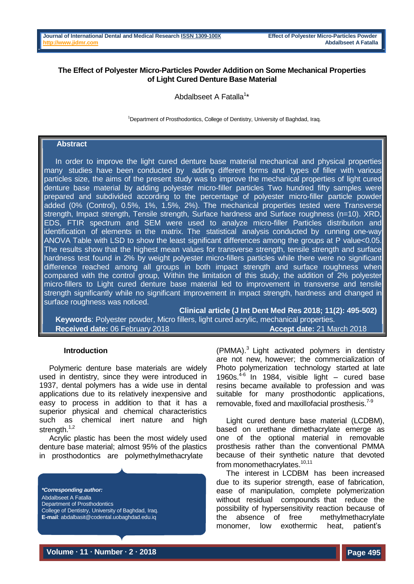# **The Effect of Polyester Micro-Particles Powder Addition on Some Mechanical Properties of Light Cured Denture Base Material**

Abdalbseet A Fatalla<sup>1\*</sup>

<sup>1</sup>Department of Prosthodontics, College of Dentistry, University of Baghdad, Iraq.

## **Abstract**

In order to improve the light cured denture base material mechanical and physical properties many studies have been conducted by adding different forms and types of filler with various particles size, the aims of the present study was to improve the mechanical properties of light cured denture base material by adding polyester micro-filler particles Two hundred fifty samples were prepared and subdivided according to the percentage of polyester micro-filler particle powder added (0% (Control), 0.5%, 1%, 1.5%, 2%). The mechanical properties tested were Transverse strength, Impact strength, Tensile strength, Surface hardness and Surface roughness (n=10). XRD, EDS, FTIR spectrum and SEM were used to analyze micro-filler Particles distribution and identification of elements in the matrix. The statistical analysis conducted by running one-way ANOVA Table with LSD to show the least significant differences among the groups at P value<0.05. The results show that the highest mean values for transverse strength, tensile strength and surface hardness test found in 2% by weight polyester micro-fillers particles while there were no significant difference reached among all groups in both impact strength and surface roughness when compared with the control group, Within the limitation of this study, the addition of 2% polyester micro-fillers to Light cured denture base material led to improvement in transverse and tensile strength significantly while no significant improvement in impact strength, hardness and changed in surface roughness was noticed.

**Clinical article (J Int Dent Med Res 2018; 11(2): 495-502) Keywords**: Polyester powder, Micro fillers, light cured acrylic, mechanical properties. **Received date:** 06 February 2018 **Accept date: 21 March 2018 Accept date: 21 March 2018** 

## **Introduction**

Polymeric denture base materials are widely used in dentistry, since they were introduced in 1937, dental polymers has a wide use in dental applications due to its relatively inexpensive and easy to process in addition to that it has a superior physical and chemical characteristics such as chemical inert nature and high strength.<sup>1,2</sup>

Acrylic plastic has been the most widely used denture base material; almost 95% of the plastics in prosthodontics are polymethylmethacrylate



(PMMA).<sup>3</sup> Light activated polymers in dentistry are not new, however; the commercialization of Photo polymerization technology started at late 1960s.4-6 In 1984, visible light – cured base resins became available to profession and was suitable for many prosthodontic applications, removable, fixed and maxillofacial prosthesis.<sup>7-9</sup>

Light cured denture base material (LCDBM), based on urethane dimethacrylate emerge as one of the optional material in removable prosthesis rather than the conventional PMMA because of their synthetic nature that devoted from monomethacrylates.<sup>10,11</sup>

The interest in LCDBM has been increased due to its superior strength, ease of fabrication, ease of manipulation, complete polymerization without residual compounds that reduce the possibility of hypersensitivity reaction because of the absence of free methylmethacrylate monomer, low exothermic heat, patient's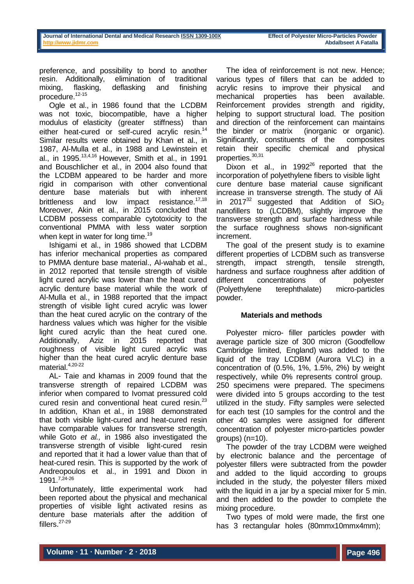preference, and possibility to bond to another resin. Additionally, elimination of traditional mixing, flasking, deflasking and finishing procedure.<sup>12-15</sup>

Ogle et al., in 1986 found that the LCDBM was not toxic, biocompatible, have a higher modulus of elasticity (greater stiffness) than either heat-cured or self-cured acrylic resin.<sup>14</sup> Similar results were obtained by Khan et al., in 1987, Al-Mulla et al., in 1988 and Lewinstein et al., in 1995.13,4,16 However, Smith et al., in 1991 and Bouschlicher et al., in 2004 also found that the LCDBM appeared to be harder and more rigid in comparison with other conventional denture base materials but with inherent brittleness and low impact resistance. $17,18$ Moreover, Akin et al., in 2015 concluded that LCDBM possess comparable cytotoxicity to the conventional PMMA with less water sorption when kept in water for long time.<sup>19</sup>

Ishigami et al., in 1986 showed that LCDBM has inferior mechanical properties as compared to PMMA denture base material., Al-wahab et al., in 2012 reported that tensile strength of visible light cured acrylic was lower than the heat cured acrylic denture base material while the work of Al-Mulla et al., in 1988 reported that the impact strength of visible light cured acrylic was lower than the heat cured acrylic on the contrary of the hardness values which was higher for the visible light cured acrylic than the heat cured one. Additionally, Aziz in 2015 reported that roughness of visible light cured acrylic was higher than the heat cured acrylic denture base material.<sup>4,20-22</sup>

AL- Taie and khamas in 2009 found that the transverse strength of repaired LCDBM was inferior when compared to Ivomat pressured cold cured resin and conventional heat cured resin.<sup>23</sup> In addition, Khan et al., in 1988 demonstrated that both visible light-cured and heat-cured resin have comparable values for transverse strength, while Goto *et al.,* in 1986 also investigated the transverse strength of visible light-cured resin and reported that it had a lower value than that of heat-cured resin. This is supported by the work of Andreopoulos et al., in 1991 and Dixon in 1991.7,24-26

Unfortunately, little experimental work had been reported about the physical and mechanical properties of visible light activated resins as denture base materials after the addition of fillers.<sup>27-29</sup>

The idea of reinforcement is not new. Hence; various types of fillers that can be added to acrylic resins to improve their physical and mechanical properties has been available. Reinforcement provides strength and rigidity, helping to support structural load. The position and direction of the reinforcement can maintains the binder or matrix (inorganic or organic). Significantly, constituents of the composites retain their specific chemical and physical properties.30,31

Dixon et al., in  $1992^{26}$  reported that the incorporation of polyethylene fibers to visible light cure denture base material cause significant increase in transverse strength. The study of Ali in 2017<sup>32</sup> suggested that Addition of SiO<sub>2</sub> nanofillers to (LCDBM), slightly improve the transverse strength and surface hardness while the surface roughness shows non-significant increment.

The goal of the present study is to examine different properties of LCDBM such as transverse strength, impact strength, tensile strength, hardness and surface roughness after addition of different concentrations of polyester (Polyethylene terephthalate) micro-particles powder.

## **Materials and methods**

Polyester micro- filler particles powder with average particle size of 300 micron (Goodfellow Cambridge limited, England) was added to the liquid of the tray LCDBM (Aurora VLC) in a concentration of (0.5%, 1%, 1.5%, 2%) by weight respectively, while 0% represents control group. 250 specimens were prepared. The specimens were divided into 5 groups according to the test utilized in the study. Fifty samples were selected for each test (10 samples for the control and the other 40 samples were assigned for different concentration of polyester micro-particles powder  $qroups)$  ( $n=10$ ).

The powder of the tray LCDBM were weighed by electronic balance and the percentage of polyester fillers were subtracted from the powder and added to the liquid according to groups included in the study, the polyester fillers mixed with the liquid in a jar by a special mixer for 5 min. and then added to the powder to complete the mixing procedure.

Two types of mold were made, the first one has 3 rectangular holes (80mmx10mmx4mm);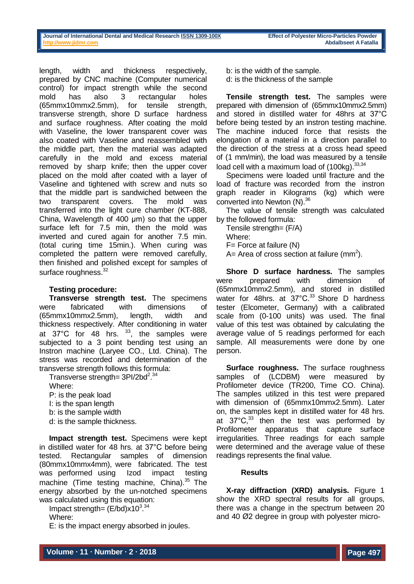length, width and thickness respectively, prepared by CNC machine (Computer numerical control) for impact strength while the second mold has also 3 rectangular holes (65mmx10mmx2.5mm), for tensile strength, transverse strength, shore D surface hardness and surface roughness. After coating the mold with Vaseline, the lower transparent cover was also coated with Vaseline and reassembled with the middle part, then the material was adapted carefully in the mold and excess material removed by sharp knife; then the upper cover placed on the mold after coated with a layer of Vaseline and tightened with screw and nuts so that the middle part is sandwiched between the two transparent covers. The mold was transferred into the light cure chamber (KT-888, China, Wavelength of 400 µm) so that the upper surface left for 7.5 min, then the mold was inverted and cured again for another 7.5 min. (total curing time 15min.). When curing was completed the pattern were removed carefully, then finished and polished except for samples of surface roughness.<sup>32</sup>

## **Testing procedure:**

**Transverse strength test.** The specimens were fabricated with dimensions of (65mmx10mmx2.5mm), length, width and thickness respectively. After conditioning in water at  $37^{\circ}$ C for 48 hrs.  $^{33}$ , the samples were subjected to a 3 point bending test using an Instron machine (Laryee CO., Ltd. China). The stress was recorded and determination of the transverse strength follows this formula:

Transverse strength=  $3PI/2bd<sup>2,34</sup>$ 

Where:

- P: is the peak load
- I: is the span length
- b: is the sample width
- d: is the sample thickness.

**Impact strength test.** Specimens were kept in distilled water for 48 hrs. at 37°C before being tested. Rectangular samples of dimension (80mmx10mmx4mm), were fabricated. The test was performed using Izod impact testing machine (Time testing machine, China). $35$  The energy absorbed by the un-notched specimens was calculated using this equation:

Impact strength=  $(E/bd)x10^3$ <sup>34</sup>

Where:

E: is the impact energy absorbed in joules.

b: is the width of the sample.

d: is the thickness of the sample

**Tensile strength test.** The samples were prepared with dimension of (65mmx10mmx2.5mm) and stored in distilled water for 48hrs at 37°C before being tested by an instron testing machine. The machine induced force that resists the elongation of a material in a direction parallel to the direction of the stress at a cross head speed of (1 mm/min), the load was measured by a tensile load cell with a maximum load of (100kg). 33,34

Specimens were loaded until fracture and the load of fracture was recorded from the instron graph reader in Kilograms (kg) which were converted into Newton (N).<sup>36</sup>

The value of tensile strength was calculated by the followed formula:

Tensile strength= (F/A) Where:  $F=$  Force at failure  $(N)$ 

A= Area of cross section at failure (mm<sup>2</sup>).

**Shore D surface hardness.** The samples were prepared with dimension of (65mmx10mmx2.5mm), and stored in distilled water for 48hrs. at 37°C.<sup>33</sup> Shore D hardness tester (Elcometer, Germany) with a calibrated scale from (0-100 units) was used. The final value of this test was obtained by calculating the average value of 5 readings performed for each sample. All measurements were done by one person.

**Surface roughness.** The surface roughness samples of (LCDBM) were measured by Profilometer device (TR200, Time CO. China). The samples utilized in this test were prepared with dimension of (65mmx10mmx2.5mm). Later on, the samples kept in distilled water for 48 hrs. at  $37^{\circ}$ C,<sup>33</sup> then the test was performed by Profilometer apparatus that capture surface irregularities. Three readings for each sample were determined and the average value of these readings represents the final value.

## **Results**

**X-ray diffraction (XRD) analysis.** Figure 1 show the XRD spectral results for all groups, there was a change in the spectrum between 20 and 40 Ø2 degree in group with polyester micro-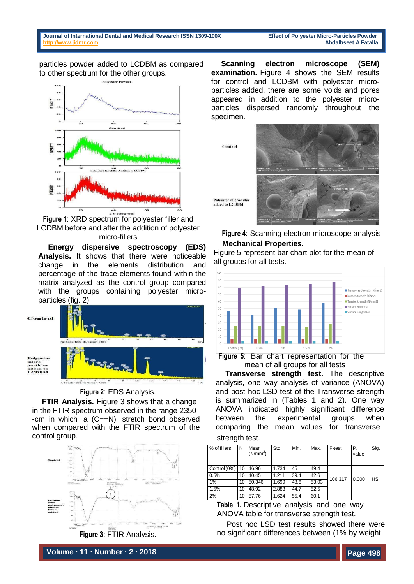particles powder added to LCDBM as compared to other spectrum for the other groups.



**Figure 1**: XRD spectrum for polyester filler and LCDBM before and after the addition of polyester micro-fillers

**Energy dispersive spectroscopy (EDS) Analysis.** It shows that there were noticeable change in the elements distribution and percentage of the trace elements found within the matrix analyzed as the control group compared with the groups containing polyester microparticles (fig. 2).





**FTIR Analysis.** Figure 3 shows that a change in the FTIR spectrum observed in the range 2350 -cm in which a (C==N) stretch bond observed when compared with the FTIR spectrum of the control group.



**Figure 3:** FTIR Analysis.

**Scanning electron microscope (SEM) examination.** Figure 4 shows the SEM results for control and LCDBM with polyester microparticles added, there are some voids and pores appeared in addition to the polyester microparticles dispersed randomly throughout the specimen.

Control



Polyester micro-filler<br>added to LCDBM

**Figure 4**: Scanning electron microscope analysis  **Mechanical Properties.**

Figure 5 represent bar chart plot for the mean of all groups for all tests.





**Transverse strength test.** The descriptive analysis, one way analysis of variance (ANOVA) and post hoc LSD test of the Transverse strength is summarized in (Tables 1 and 2). One way ANOVA indicated highly significant difference between the experimental groups when comparing the mean values for transverse

strength test.

| % of fillers | N  | Mean<br>(N/mm <sup>2</sup> ) | Std.  | Min. | Max.  | F-test  | Ρ.<br>value | Sig. |
|--------------|----|------------------------------|-------|------|-------|---------|-------------|------|
| Control (0%) | 10 | 46.96                        | 1.734 | 45   | 49.4  |         |             |      |
| 0.5%         | 10 | 40.45                        | 1.211 | 39.4 | 42.6  |         |             | HS   |
| 1%           | 10 | 50.346                       | 1.699 | 48.6 | 53.03 | 106.317 | 0.000       |      |
| 1.5%         | 10 | 48.92                        | 2.883 | 44.7 | 52.5  |         |             |      |
| 2%           | 10 | 57.76                        | 1.624 | 55.4 | 60.1  |         |             |      |

**Table 1.** Descriptive analysis and one way ANOVA table for transverse strength test.

Post hoc LSD test results showed there were no significant differences between (1% by weight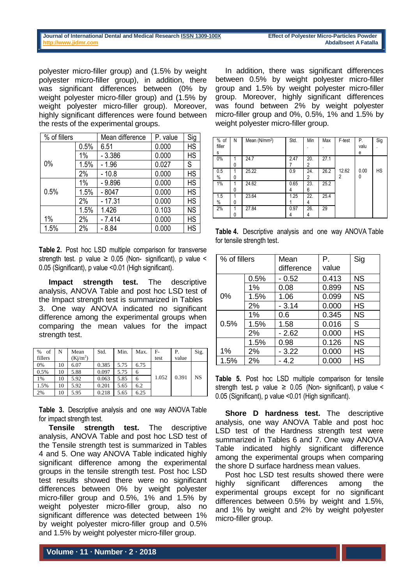#### **Journal of International Dental and Medical Research ISSN [1309-100X](http://www.ektodermaldisplazi.com/dergi.htm) [http://www.jidmr.com](http://www.jidmr.com/)**

polyester micro-filler group) and (1.5% by weight polyester micro-filler group), in addition, there was significant differences between (0% by weight polyester micro-filler group) and (1.5% by weight polyester micro-filler group). Moreover, highly significant differences were found between the rests of the experimental groups.

| % of fillers |      | Mean difference | P. value | Sig       |
|--------------|------|-----------------|----------|-----------|
|              | 0.5% | 6.51            | 0.000    | <b>HS</b> |
|              | 1%   | $-3.386$        | 0.000    | <b>HS</b> |
| 0%           | 1.5% | $-1.96$         | 0.027    | S         |
|              | 2%   | $-10.8$         | 0.000    | <b>HS</b> |
|              | 1%   | $-9.896$        | 0.000    | <b>HS</b> |
| 0.5%         | 1.5% | $-8047$         | 0.000    | <b>HS</b> |
|              | 2%   | $-17.31$        | 0.000    | <b>HS</b> |
|              | 1.5% | 1.426           | 0.103    | <b>NS</b> |
| 1%           | 2%   | $-7.414$        | 0.000    | <b>HS</b> |
| 1.5%         | 2%   | 8.84            | 0.000    | <b>HS</b> |

**Table 2.** Post hoc LSD multiple comparison for transverse strength test. p value  $\geq$  0.05 (Non-significant), p value  $\leq$ 0.05 (Significant), p value <0.01 (High significant).

**Impact strength test.** The descriptive analysis, ANOVA Table and post hoc LSD test of the Impact strength test is summarized in Tables 3. One way ANOVA indicated no significant difference among the experimental groups when comparing the mean values for the impact strength test.

| of<br>% | N  | Mean                              | Std.  | Min. | Max. | $F-$  | Р.    | Sig.      |
|---------|----|-----------------------------------|-------|------|------|-------|-------|-----------|
| fillers |    | (K <sub>i</sub> /m <sup>2</sup> ) |       |      |      | test  | value |           |
| 0%      | 10 | 6.07                              | 0.385 | 5.75 | 6.75 |       |       |           |
| 0.5%    | 10 | 5.88                              | 0.097 | 5.75 | 6    |       |       |           |
| 1%      | 10 | 5.92                              | 0.063 | 5.85 | 6    | 1.052 | 0.391 | <b>NS</b> |
| 1.5%    | 10 | 5.92                              | 0.201 | 5.65 | 6.2  |       |       |           |
| 2%      | 10 | 5.95                              | 0.218 | 5.65 | 6.25 |       |       |           |

**Table 3.** Descriptive analysis and one way ANOVA Table for impact strength test.

**Tensile strength test.** The descriptive analysis, ANOVA Table and post hoc LSD test of the Tensile strength test is summarized in Tables 4 and 5. One way ANOVA Table indicated highly significant difference among the experimental groups in the tensile strength test. Post hoc LSD test results showed there were no significant differences between 0% by weight polyester micro-filler group and 0.5%, 1% and 1.5% by weight polyester micro-filler group, also no significant difference was detected between 1% by weight polyester micro-filler group and 0.5% and 1.5% by weight polyester micro-filler group.

In addition, there was significant differences between 0.5% by weight polyester micro-filler group and 1.5% by weight polyester micro-filler group. Moreover, highly significant differences was found between 2% by weight polyester micro-filler group and 0%, 0.5%, 1% and 1.5% by weight polyester micro-filler group.

| $%$ of<br>filler<br>s | N | Mean (N/mm <sup>2</sup> ) | Std. | Min | Max  | F-test | Ρ.<br>valu<br>е | Sig       |
|-----------------------|---|---------------------------|------|-----|------|--------|-----------------|-----------|
| 0%                    |   | 24.7                      | 2.47 | 20. | 27.1 |        |                 |           |
|                       | 0 |                           |      | 2   |      |        |                 |           |
| 0.5                   |   | 25.22                     | 0.9  | 24. | 26.2 | 12.62  | 0.00            | <b>HS</b> |
| $\%$                  | 0 |                           |      | 2   |      | 2      | 0               |           |
| 1%                    |   | 24.62                     | 0.65 | 23. | 25.2 |        |                 |           |
|                       | 0 |                           | 4    | 6   |      |        |                 |           |
| 1.5                   |   | 23.64                     | 1.25 | 22. | 25.4 |        |                 |           |
| $\%$                  | 0 |                           |      | 4   |      |        |                 |           |
| 2%                    |   | 27.84                     | 0.97 | 26. | 29   |        |                 |           |
|                       | 0 |                           | 4    | 4   |      |        |                 |           |

**Table 4.** Descriptive analysis and one way ANOVA Table for tensile strength test.

| % of fillers |      | Mean       | Р.    | Sig       |
|--------------|------|------------|-------|-----------|
|              |      | difference | value |           |
|              | 0.5% | $-0.52$    | 0.413 | <b>NS</b> |
|              | 1%   | 0.08       | 0.899 | <b>NS</b> |
| 0%           | 1.5% | 1.06       | 0.099 | <b>NS</b> |
|              | 2%   | $-3.14$    | 0.000 | <b>HS</b> |
|              | 1%   | 0.6        | 0.345 | <b>NS</b> |
| 0.5%         | 1.5% | 1.58       | 0.016 | S         |
|              | 2%   | $-2.62$    | 0.000 | <b>HS</b> |
|              | 1.5% | 0.98       | 0.126 | <b>NS</b> |
| 1%           | 2%   | $-3.22$    | 0.000 | <b>HS</b> |
| 1.5%         | 2%   | $-4.2$     | 0.000 | <b>HS</b> |

**Table 5.** Post hoc LSD multiple comparison for tensile strength test  $p$  value  $\geq$  0.05 (Non- significant), p value < 0.05 (Significant), p value <0.01 (High significant).

**Shore D hardness test.** The descriptive analysis, one way ANOVA Table and post hoc LSD test of the Hardness strength test were summarized in Tables 6 and 7. One way ANOVA Table indicated highly significant difference among the experimental groups when comparing the shore D surface hardness mean values.

Post hoc LSD test results showed there were highly significant differences among the experimental groups except for no significant differences between 0.5% by weight and 1.5%, and 1% by weight and 2% by weight polyester micro-filler group.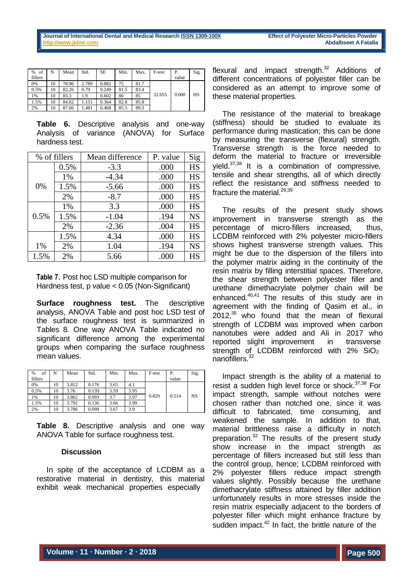| of<br>% | N  | Mean  | Std.  | <b>SE</b> | Min. | Max. | F-test | Р.    | Sig. |
|---------|----|-------|-------|-----------|------|------|--------|-------|------|
| fillers |    |       |       |           |      |      |        | value |      |
| 0%      | 10 | 78.96 | 2.789 | 0.882     | 75   | 81.7 |        |       |      |
| 0.5%    | 10 | 82.26 | 0.79  | 0.249     | 81.5 | 83.4 |        |       |      |
| 1%      | 10 | 83.3  | 1.9   | 0.602     | 80   | 85   | 32.655 | 0.000 | HS   |
| 1.5%    | 10 | 84.62 | 1.151 | 0.364     | 82.8 | 85.8 |        |       |      |
| 2%      | 10 | 87.66 | 1.481 | 0.468     | 85.5 | 89.3 |        |       |      |

**Table 6.** Descriptive analysis and one-way Analysis of variance (ANOVA) for Surface hardness test.

| % of fillers |      | Mean difference | P. value | Sig       |
|--------------|------|-----------------|----------|-----------|
|              | 0.5% | $-3.3$          | .000     | <b>HS</b> |
|              | 1%   | $-4.34$         | .000     | <b>HS</b> |
| 0%           | 1.5% | $-5.66$         | .000     | <b>HS</b> |
|              | 2%   | $-8.7$          | .000     | <b>HS</b> |
|              | 1%   | 3.3             | .000     | <b>HS</b> |
| 0.5%         | 1.5% | $-1.04$         | .194     | <b>NS</b> |
|              | 2%   | $-2.36$         | .004     | <b>HS</b> |
|              | 1.5% | 4.34            | .000     | <b>HS</b> |
| 1%           | 2%   | 1.04            | .194     | <b>NS</b> |
| 1.5%         | 2%   | 5.66            | .000     | <b>HS</b> |

**Table 7.** Post hoc LSD multiple comparison for Hardness test, p value < 0.05 (Non-Significant)

**Surface roughness test.** The descriptive analysis, ANOVA Table and post hoc LSD test of the surface roughness test is summarized in Tables 8. One way ANOVA Table indicated no significant difference among the experimental groups when comparing the surface roughness mean values.

| of<br>% | N  | Mean  | Std.  | Min. | Max. | F-test | Р.    | Sig.      |
|---------|----|-------|-------|------|------|--------|-------|-----------|
| fillers |    |       |       |      |      |        | value |           |
| 0%      | 10 | 3.812 | 0.176 | 3.65 | 4.1  |        |       |           |
| 0.5%    | 10 | 3.76  | 0.139 | 3.59 | 3.95 |        |       |           |
| 1%      | 10 | 3.862 | 0.093 | 3.7  | 3.97 | 0.829  | 0.514 | <b>NS</b> |
| 1.5%    | 10 | 3.792 | 0.136 | 3.66 | 3.99 |        |       |           |
| 2%      | 10 | 3.786 | 0.099 | 3.67 | 3.9  |        |       |           |

**Table 8.** Descriptive analysis and one way ANOVA Table for surface roughness test.

## **Discussion**

In spite of the acceptance of LCDBM as a restorative material in dentistry, this material exhibit weak mechanical properties especially

flexural and impact strength. $32$  Additions of different concentrations of polyester filler can be considered as an attempt to improve some of these material properties.

The resistance of the material to breakage (stiffness) should be studied to evaluate its performance during mastication; this can be done by measuring the transverse (flexural) strength. Transverse strength is the force needed to deform the material to fracture or irreversible yield.37,38 It is a combination of compressive, tensile and shear strengths, all of which directly reflect the resistance and stiffness needed to fracture the material.<sup>29,39</sup>

The results of the present study shows improvement in transverse strength as the percentage of micro-fillers increased, thus, LCDBM reinforced with 2% polyester micro-fillers shows highest transverse strength values. This might be due to the dispersion of the fillers into the polymer matrix aiding in the continuity of the resin matrix by filling interstitial spaces. Therefore, the shear strength between polyester filler and urethane dimethacrylate polymer chain will be enhanced.<sup>40,41</sup> The results of this study are in agreement with the finding of Qasim et al., in  $2012<sup>35</sup>$  who found that the mean of flexural strength of LCDBM was improved when carbon nanotubes were added and Ali in 2017 who reported slight improvement in transverse strength of LCDBM reinforced with  $2\%$  SiO<sub>2</sub> nanofillers.<sup>32</sup>

Impact strength is the ability of a material to resist a sudden high level force or shock.<sup>37,38</sup> For impact strength, sample without notches were chosen rather than notched one, since it was difficult to fabricated, time consuming, and weakened the sample. In addition to that, material brittleness raise a difficulty in notch preparation.<sup>32</sup> The results of the present study show increase in the impact strength as percentage of fillers increased but still less than the control group, hence; LCDBM reinforced with 2% polyester fillers reduce impact strength values slightly. Possibly because the urethane dimethacrylate stiffness attained by filler addition unfortunately results in more stresses inside the resin matrix especially adjacent to the borders of polyester filler which might enhance fracture by sudden impact.<sup>42</sup> In fact, the brittle nature of the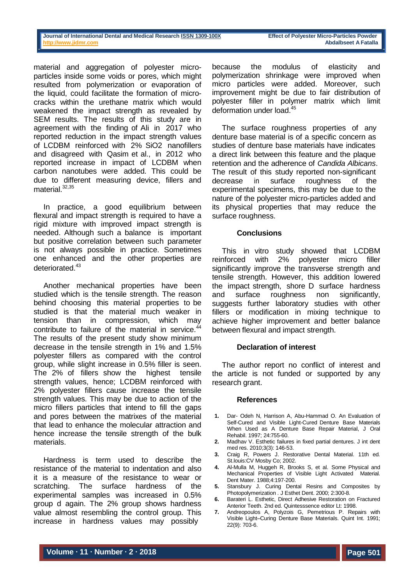| Journal of International Dental and Medical Research ISSN 1309-100X |  |  |  |
|---------------------------------------------------------------------|--|--|--|
| http://www.iidmr.com                                                |  |  |  |

material and aggregation of polyester microparticles inside some voids or pores, which might resulted from polymerization or evaporation of the liquid, could facilitate the formation of microcracks within the urethane matrix which would weakened the impact strength as revealed by SEM results. The results of this study are in agreement with the finding of Ali in 2017 who reported reduction in the impact strength values of LCDBM reinforced with 2% SiO2 nanofillers and disagreed with Qasim et al., in 2012 who reported increase in impact of LCDBM when carbon nanotubes were added. This could be due to different measuring device, fillers and material.<sup>32,35</sup>

In practice, a good equilibrium between flexural and impact strength is required to have a rigid mixture with improved impact strength is needed. Although such a balance is important but positive correlation between such parameter is not always possible in practice. Sometimes one enhanced and the other properties are deteriorated.<sup>43</sup>

Another mechanical properties have been studied which is the tensile strength. The reason behind choosing this material properties to be studied is that the material much weaker in tension than in compression, which may contribute to failure of the material in service.<sup>44</sup> The results of the present study show minimum decrease in the tensile strength in 1% and 1.5% polyester fillers as compared with the control group, while slight increase in 0.5% filler is seen. The 2% of fillers show the highest tensile strength values, hence; LCDBM reinforced with 2% polyester fillers cause increase the tensile strength values. This may be due to action of the micro fillers particles that intend to fill the gaps and pores between the matrixes of the material that lead to enhance the molecular attraction and hence increase the tensile strength of the bulk materials.

Hardness is term used to describe the resistance of the material to indentation and also it is a measure of the resistance to wear or scratching. The surface hardness of the experimental samples was increased in 0.5% group d again. The 2% group shows hardness value almost resembling the control group. This increase in hardness values may possibly

because the modulus of elasticity and polymerization shrinkage were improved when micro particles were added. Moreover, such improvement might be due to fair distribution of polyester filler in polymer matrix which limit deformation under load.<sup>45</sup>

The surface roughness properties of any denture base material is of a specific concern as studies of denture base materials have indicates a direct link between this feature and the plaque retention and the adherence of *Candida Albicans*. The result of this study reported non-significant decrease in surface roughness of the experimental specimens, this may be due to the nature of the polyester micro-particles added and its physical properties that may reduce the surface roughness.

## **Conclusions**

This in vitro study showed that LCDBM reinforced with 2% polyester micro filler significantly improve the transverse strength and tensile strength. However, this addition lowered the impact strength, shore D surface hardness and surface roughness non significantly, suggests further laboratory studies with other fillers or modification in mixing technique to achieve higher improvement and better balance between flexural and impact strength.

## **Declaration of interest**

The author report no conflict of interest and the article is not funded or supported by any research grant.

### **References**

- Dar- Odeh N, Harrison A, Abu-Hammad O. An Evaluation of Self-Cured and Visible Light-Cured Denture Base Materials When Used as A Denture Base Repair Material, J Oral Rehabil. 1997; 24:755-60.
- **2.** Madhav V. Esthetic failures in fixed partial dentures. J int dent med res. 2010;3(3): 146-53.
- **3.** Craig R, Powers J. Restorative Dental Material. 11th ed. St.louis:CV Mosby Co; 2002.
- **4.** Al-Mulla M, Huggeh R, Brooks S, et al. Some Physical and Mechanical Properties of Visible Light Activated Material. Dent Mater. 1988;4:197-200.
- **5.** Stansbury J. Curing Dental Resins and Composites by Photopolymerization . J Esthet Dent. 2000; 2:300-8.
- **6.** Barateri L. Esthetic, Direct Adhesive Restoration on Fractured Anterior Teeth. 2nd ed. Quintesssence editor Lt: 1998.
- **7.** Andreopoulos A, Polyzois G, Pemetrious P. Repairs with Visible Light–Curing Denture Base Materials. Quint Int. 1991; 22(9): 703-6.